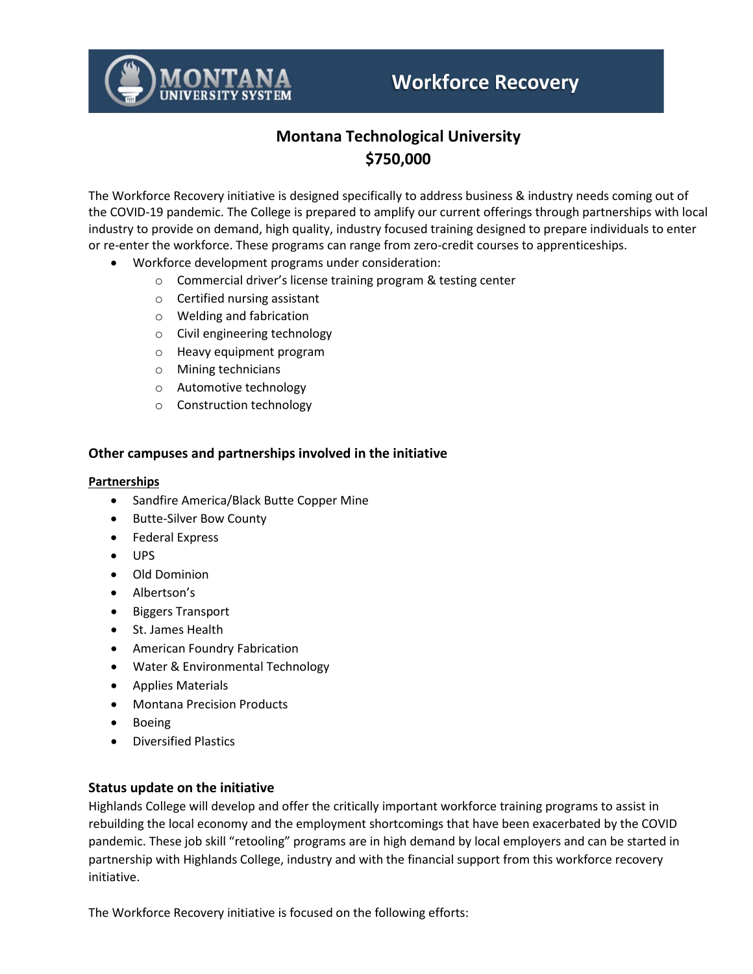

# **Workforce Recovery**

# **Montana Technological University \$750,000**

The Workforce Recovery initiative is designed specifically to address business & industry needs coming out of the COVID-19 pandemic. The College is prepared to amplify our current offerings through partnerships with local industry to provide on demand, high quality, industry focused training designed to prepare individuals to enter or re-enter the workforce. These programs can range from zero-credit courses to apprenticeships.

- Workforce development programs under consideration:
	- o Commercial driver's license training program & testing center
	- o Certified nursing assistant
	- o Welding and fabrication
	- o Civil engineering technology
	- o Heavy equipment program
	- o Mining technicians
	- o Automotive technology
	- o Construction technology

# **Other campuses and partnerships involved in the initiative**

#### **Partnerships**

- Sandfire America/Black Butte Copper Mine
- Butte-Silver Bow County
- Federal Express
- UPS
- Old Dominion
- Albertson's
- Biggers Transport
- St. James Health
- American Foundry Fabrication
- Water & Environmental Technology
- Applies Materials
- Montana Precision Products
- Boeing
- Diversified Plastics

#### **Status update on the initiative**

Highlands College will develop and offer the critically important workforce training programs to assist in rebuilding the local economy and the employment shortcomings that have been exacerbated by the COVID pandemic. These job skill "retooling" programs are in high demand by local employers and can be started in partnership with Highlands College, industry and with the financial support from this workforce recovery initiative.

The Workforce Recovery initiative is focused on the following efforts: